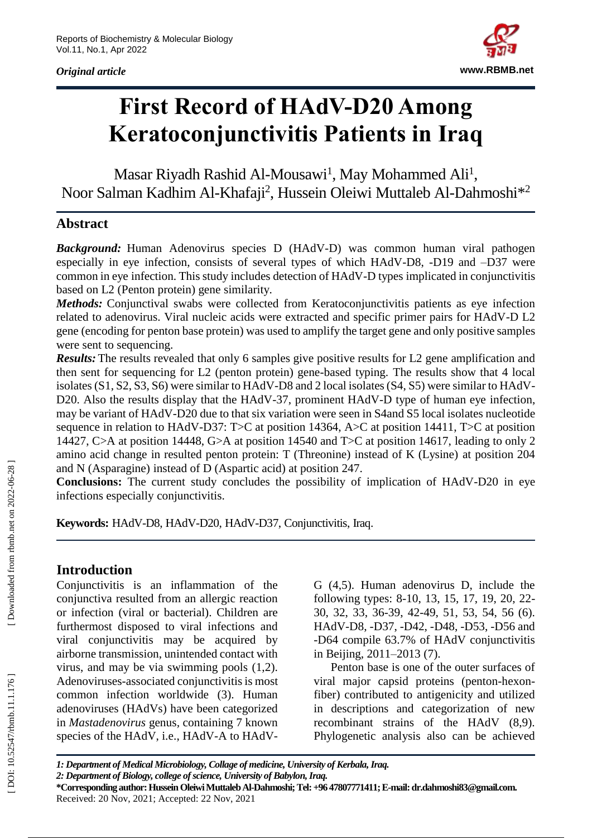*Original article*



# **First Record of HAdV-D20 Among Keratoconjunctivitis Patients in Iraq**

Masar Riyadh Rashid Al-Mousawi<sup>1</sup>, May Mohammed Ali<sup>1</sup>, Noor Salman Kadhim Al-Khafaji<sup>2</sup>, Hussein Oleiwi Muttaleb Al-Dahmoshi<sup>\*2</sup>

## **Abstract**

*Background:* Human Adenovirus species D (HAdV -D) was common human viral pathogen especially in eye infection, consists of several types of which HAdV-D8, -D19 and -D37 were common in eye infection. This study includes detection of HAdV -D types implicated in conjunctivitis based on L2 (Penton protein) gene similarity.

*Methods:* Conjunctival swabs were collected from Keratoconjunctivitis patients as eye infection related to adenovirus. Viral nucleic acids were extracted and specific primer pairs for HAdV-D L2 gene (encoding for penton base protein) was used to amplify the target gene and only positive samples were sent to sequencing.

Results: The results revealed that only 6 samples give positive results for L2 gene amplification and then sent for sequencing for L2 (penton protein) gene -based typing. The results show that 4 local isolates (S1, S2, S3, S6) were similar to HAdV -D8 and 2 local isolates (S4, S5) were similar to HAdV - D20. Also the results display that the HAdV-37, prominent HAdV-D type of human eye infection, may be variant of HAdV -D20 due to that six variation were seen in S4and S5 local isolates nucleotide sequence in relation to HAdV-D37: T>C at position 14364, A>C at position 14411, T>C at position 14427, C>A at position 14448, G>A at position 14540 and T>C at position 14617, leading to only 2 amino acid change in resulted penton protein: T (Threonine) instead of K (Lysine) at position 204 and N (Asparagine) instead of D (Aspartic acid) at position 247.

Conclusions: The current study concludes the possibility of implication of HAdV-D20 in eye infections especially conjunctivitis.

Keywords: HAdV-D8, HAdV-D20, HAdV-D37, Conjunctivitis, Iraq.

## **Introduction**

Conjunctivitis is an inflammation of the conjunctiva resulted from an allergic reaction or infection (viral or bacterial). Children are furthermost disposed to viral infections and viral conjunctivitis may be acquired by airborne transmission, unintended contact with virus, and may be via swimming pools (1,2). Adenoviruses -associated conjunctivitis is most common infection worldwide (3). Human adenoviruses (HAdVs) have been categorized in *Mastadenovirus* genus *,* containing 7 known species of the HAdV, i.e., HAdV-A to HAdV-

G (4,5). Human adenovirus D, include the following types: 8 -10, 13, 15, 17, 19, 20, 22 - 30, 32, 33, 36 -39, 42 -49, 51, 53, 54, 56 (6). HAdV-D8, -D37, -D42, -D48, -D53, -D56 and -D64 compile 63.7% of HAdV conjunctivitis in Beijing, 2011 –2013 (7).

Penton base is one of the outer surfaces of viral major capsid proteins (penton -hexon fiber) contributed to antigenicity and utilized in descriptions and categorization of new recombinant strains of the HAdV (8,9). Phylogenetic analysis also can be achieved

*1: Department of Medical Microbiology, Collage of medicine, University of Kerbala, Iraq. 2: Department of Biology, college of science, University of Babylon, Iraq.* **\*Corresponding author:Hussein Oleiwi Muttaleb Al -Dahmoshi; Tel: +96 47807771411; E -mail: dr.dahmoshi83@gmail.com.** Received: 20 Nov , 202 1; Accepted: 22 Nov, 202 1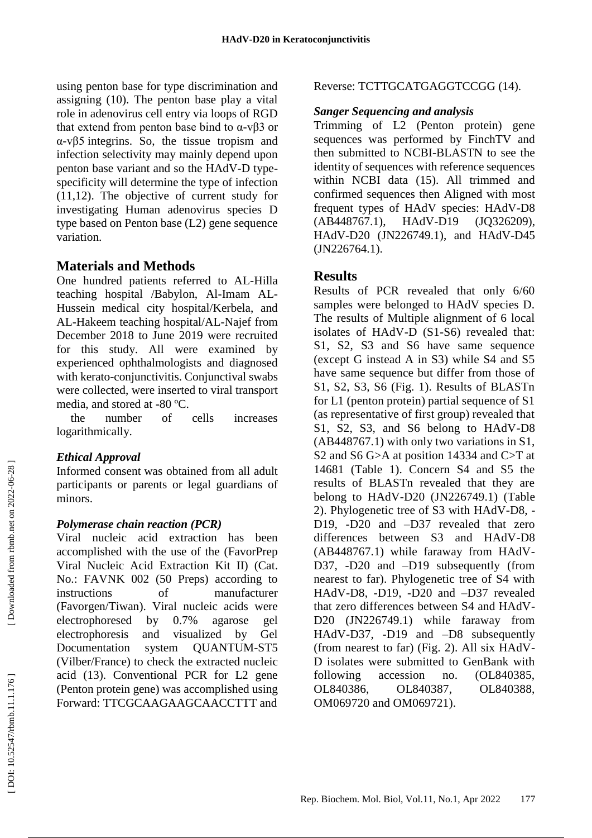using penton base for type discrimination and assigning (10). The penton base play a vital role in adenovirus cell entry via loops of RGD that extend from penton base bind to  $α$ -v $β$ 3 or α -vβ5 integrins. So, the tissue tropism and infection selectivity may mainly depend upon penton base variant and so the HAdV -D type specificity will determine the type of infection (11,12). The objective of current study for investigating Human adenovirus species D type based on Penton base (L2) gene sequence variation.

## **Materials and Methods**

One hundred patients referred to AL -Hilla teaching hospital /Babylon, Al -Imam AL - Hussein medical city hospital/Kerbela, and AL -Hakeem teaching hospital/AL -Najef from December 2018 to June 2019 were recruited for this study. All were examined by experienced ophthalmologists and diagnosed with kerato -conjunctivitis. Conjunctival swabs were collected, were inserted to viral transport media, and stored at -80 °C.

the number of cells increases logarithmically.

### *Ethical Approval*

Informed consent was obtained from all adult participants or parents or legal guardians of minors.

### *Polymerase chain reaction (PCR)*

Viral nucleic acid extraction has been accomplished with the use of the (FavorPrep Viral Nucleic Acid Extraction Kit II) (Cat. No.: FAVNK 002 (50 Preps) according to instructions of manufacturer (Favorgen/Tiwan). Viral nucleic acids were electrophoresed by 0.7% agarose gel electrophoresis and visualized by Gel Documentation system QUANTUM-ST5 (Vilber/France) to check the extracted nucleic acid (13). Conventional PCR for L2 gene (Penton protein gene) was accomplished using Forward: TTCGCAAGAAGCAACCTTT and

## Reverse: TCTTGCATGAGGTCCGG (14).

### *Sanger Sequencing and analysis*

Trimming of L2 (Penton protein) gene sequences was performed by FinchTV and then submitted to NCBI -BLASTN to see the identity of sequences with reference sequences within NCBI data (15). All trimmed and confirmed sequences then Aligned with most frequent types of HAdV species: HAdV -D8 [\(AB448767.](https://www.ncbi.nlm.nih.gov/nuccore/AB448767)1), HAdV  $(JQ326209),$  $(JQ326209),$ HAdV -D20 [\(JN226749.1\)](https://www.ncbi.nlm.nih.gov/nucleotide/JN226749.1?report=genbank&log$=nuclalign&blast_rank=4&RID=SXA4GZSY016), and HAdV -D45 (JN226764.1).

## **Results**

Results of PCR revealed that only 6/60 samples were belonged to HAdV species D. The results of Multiple alignment of 6 local isolates of HAdV -D (S1 -S6) revealed that: S1, S2, S3 and S6 have same sequence (except G instead A in S3) while S4 and S5 have same sequence but differ from those of S1, S2, S3, S6 (Fig. 1). Results of BLASTn for L1 (penton protein) partial sequence of S1 (as representative of first group) revealed that S1, S2, S3, and S6 belong to HAdV -D8 (AB448767.1) with only two variations in S1, S2 and S6 G>A at position 14334 and C>T at 14681 (Table 1). Concern S4 and S5 the results of BLASTn revealed that they are belong to HAdV -D20 [\(JN226749.1\)](https://www.ncbi.nlm.nih.gov/nucleotide/JN226749.1?report=genbank&log$=nuclalign&blast_rank=4&RID=SXA4GZSY016) (Table 2). Phylogenetic tree of S3 with HAdV -D8, - D19, -D20 and –D37 revealed that zero differences between S3 and HAdV -D8 (AB448767.1) while faraway from HAdV - D37, -D20 and –D19 subsequently (from nearest to far). Phylogenetic tree of S4 with HAdV -D8, -D19, -D20 and –D37 revealed that zero differences between S4 and HAdV - D20 [\(JN226749.1\)](https://www.ncbi.nlm.nih.gov/nucleotide/JN226749.1?report=genbank&log$=nuclalign&blast_rank=4&RID=SXA4GZSY016) while faraway from HAdV -D37, -D19 and –D8 subsequently (from nearest to far) (Fig. 2). All six HAdV - D isolates were submitted to GenBank with following accession no. (OL840385, OL840386, OL840387, OL840388, OM069720 and OM069721).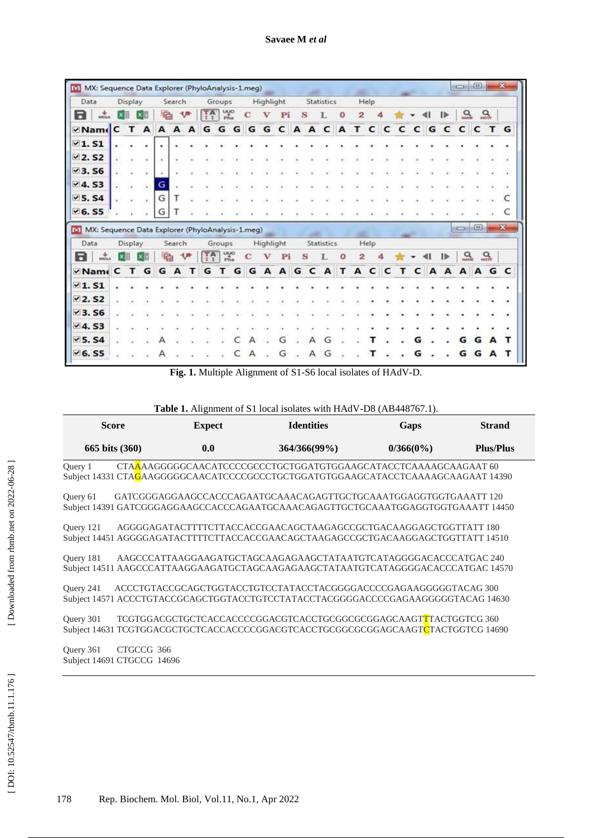| Data                                                                                                                                    | Display |     |    | Search       |   |                  | Groups                        |   |   | Highlight |    |   |   | <b>Statistics</b> |   |   | Help |   |   |   |   |               |                          |              |                  |              |
|-----------------------------------------------------------------------------------------------------------------------------------------|---------|-----|----|--------------|---|------------------|-------------------------------|---|---|-----------|----|---|---|-------------------|---|---|------|---|---|---|---|---------------|--------------------------|--------------|------------------|--------------|
| 8<br><b>WEGA</b>                                                                                                                        |         |     | ę, |              |   | $T_A$            | $\frac{100}{p_{\text{Re}}^2}$ |   | C |           | Pi | s |   |                   | O | 2 |      |   |   |   |   | $\mathbf{I}$  | 읐                        |              | $Q_{\text{max}}$ |              |
| ⊻ Name C                                                                                                                                | т       | A   | А  | A            | A | G                | G                             | G | G | G         | c  | A | A | c                 | A | т | c    | c | c | c | G | c             | c                        | c            | $\mathbf{T}$     | G            |
| $\times$ 1.51                                                                                                                           |         |     |    |              |   |                  |                               |   |   |           |    |   |   |                   |   |   |      |   |   |   |   |               |                          |              |                  |              |
| $\nu$ 2. S2                                                                                                                             |         |     |    |              |   |                  |                               |   |   |           |    |   |   |                   |   |   |      |   |   |   |   |               |                          |              |                  |              |
| ~3.56                                                                                                                                   |         |     |    |              |   |                  |                               |   |   |           |    |   |   |                   |   |   |      |   |   |   |   |               |                          |              |                  |              |
| V4. S3                                                                                                                                  |         |     | G  |              |   |                  |                               |   |   |           |    |   |   |                   |   |   |      |   |   |   |   |               |                          |              |                  |              |
| $5.54$                                                                                                                                  |         |     | G  |              |   |                  |                               |   |   |           |    |   |   |                   |   |   |      |   |   |   |   |               |                          |              |                  |              |
|                                                                                                                                         |         |     |    |              |   |                  |                               |   |   |           |    |   |   |                   |   |   |      |   |   |   |   |               |                          |              |                  |              |
|                                                                                                                                         |         |     | G  |              |   |                  |                               |   |   |           |    |   |   |                   |   |   |      |   |   |   |   |               | $\overline{\phantom{a}}$ | 回            |                  | $\mathbf{x}$ |
| Data                                                                                                                                    | Display |     |    | Search       |   |                  | Groups                        |   |   | Highlight |    |   |   | Statistics        |   |   | Help |   |   |   |   |               |                          |              |                  |              |
| <b>MEGA</b>                                                                                                                             |         |     | 礝  |              |   | $T^{\mathsf{A}}$ | uyo<br>Phe                    |   | с |           | Pi |   | s |                   |   | 2 |      |   |   |   |   | $\rightarrow$ | 읐                        |              | $\frac{Q}{100}$  | C            |
|                                                                                                                                         |         | T G | G  | $\mathbf{A}$ | т | G                | т                             | G | G | A         | A  | G | c | A                 | т | A | c    | c | т | c | A | A             | A                        | $\mathbf{A}$ | G                | c            |
|                                                                                                                                         |         |     |    |              |   |                  |                               |   |   |           |    |   |   |                   |   |   |      |   |   |   |   |               |                          |              |                  |              |
| В                                                                                                                                       |         |     |    |              |   |                  |                               |   |   |           |    |   |   |                   |   |   |      |   |   |   |   |               |                          |              |                  |              |
|                                                                                                                                         |         |     |    |              |   |                  |                               |   |   |           |    |   |   |                   |   |   |      |   |   |   |   |               |                          |              |                  |              |
|                                                                                                                                         |         |     |    |              |   |                  |                               |   |   |           |    |   |   |                   |   |   |      |   |   |   |   |               |                          |              |                  |              |
| $\times$ 6. S5<br>[M] MX: Sequence Data Explorer (PhyloAnalysis-1.meg)<br>⊻ Nam∈C<br>$\times$ 1.51<br>V2.S2<br>$3.56$<br>4.53<br>$5.54$ |         |     |    |              |   |                  |                               |   |   |           | L٦ |   |   | G                 |   |   |      |   |   |   |   |               | G                        | G            |                  |              |

**Fig. 1.** Multiple Alignment of S1 -S6 local isolates of HAdV -D.

| Table 1. Alignment of S1 local isolates with HAdV-D8 (AB448767.1). |  |
|--------------------------------------------------------------------|--|
|--------------------------------------------------------------------|--|

|         | <b>Score</b>   | <b>Expect</b> | <b>Identities</b>                                               | Gaps         | <b>Strand</b>    |
|---------|----------------|---------------|-----------------------------------------------------------------|--------------|------------------|
|         | 665 bits (360) | 0.0           | $364/366(99\%)$                                                 | $0/366(0\%)$ | <b>Plus/Plus</b> |
| Query 1 |                |               | CTAAAAAGGGGGCAACATCCCCCCCCTGCTGGATGTGGAAGCATACCTCAAAAGCAAGAAT60 |              |                  |

Subject 14331 CTA<mark>G</mark>AAGGGGGCAACATCCCCGCCCTGCTGGATGTGGAAGCATACCTCAAAAGCAAGAAT 14390

Query 61 GATCGGGAGGAAGCCACCCAGAATGCAAACAGAGTTGCTGCAAATGGAGGTGGTGAAATT 120 Subject 14391 GATCGGGAGGAAGCCACCCAGAATGCAAACAGAGTTGCTGCAAATGGAGGTGGTGAAATT 14450

Query 121 AGGGGAGATACTTTTCTTACCACCGAACAGCTAAGAGCCGCTGACAAGGAGCTGGTTATT 180 Subject 14451 AGGGGAGATACTTTTCTTACCACCGAACAGCTAAGAGCCGCTGACAAGGAGCTGGTTATT 14510

Query 181 AAGCCCATTAAGGAAGATGCTAGCAAGAGAAGCTATAATGTCATAGGGGACACCCATGAC 240 Subject 14511 AAGCCCATTAAGGAAGATGCTAGCAAGAGAAGCTATAATGTCATAGGGGACACCCATGAC 14570

Query 241 ACCCTGTACCGCAGCTGGTACCTGTCCTATACCTACGGGGACCCCGAGAAGGGGGTACAG 300 Subject 14571 ACCCTGTACCGCAGCTGGTACCTGTCCTATACCTACGGGGACCCCGAGAAGGGGGTACAG 14630

Query 301 TCGTGGACGCTGCTCACCACCCCGGACGTCACCTGCGGCGCGGAGCAAGTTTACTGGTCG 360 Subject 14631 TCGTGGACGCTGCTCACCACCCCGGACGTCACCTGCGGCGGGAGCAAGT<mark>C</mark>TACTGGTCG 14690

Query 361 CTGCCG 366 Subject 14691 CTGCCG 14696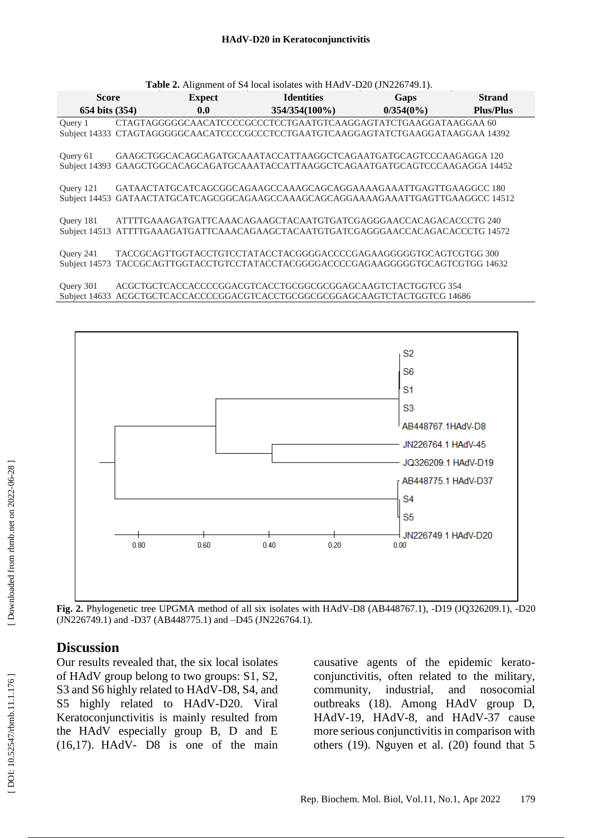#### **HAdV -D20 in Keratoconjunctivitis**

| Table 2. Alignment of S4 local isolates with HAdV-D20 (JN226749.1). |  |               |                                                                                                                                                      |              |                  |  |  |  |  |  |
|---------------------------------------------------------------------|--|---------------|------------------------------------------------------------------------------------------------------------------------------------------------------|--------------|------------------|--|--|--|--|--|
| <b>Score</b>                                                        |  | <b>Expect</b> | <b>Identities</b>                                                                                                                                    | Gaps         | <b>Strand</b>    |  |  |  |  |  |
| 654 bits (354)                                                      |  | 0.0           | $354/354(100\%)$                                                                                                                                     | $0/354(0\%)$ | <b>Plus/Plus</b> |  |  |  |  |  |
| Query 1                                                             |  |               | CTAGTAGGGGCCAACATCCCCGCCCTCCTGAATGTCAAGGAGTATCTGAAGGATAAGGAA60<br>Subject 14333 CTAGTAGGGGGCAACATCCCCGCCCTCCTGAATGTCAAGGAGTATCTGAAGGATAAGGAA 14392   |              |                  |  |  |  |  |  |
| Query 61                                                            |  |               | GAAGCTGGCACAGCAGATGCAAATACCATTAAGGCTCAGAATGATGCAGTCCCAAGAGGA 120<br>Subject 14393 GAAGCTGGCACAGCAGATGCAAATACCATTAAGGCTCAGAATGATGCAGTCCCAAGAGGA 14452 |              |                  |  |  |  |  |  |
| Ouery 121                                                           |  |               | GATAACTATGCATCAGCGGCAGAAGCCAAAGCAGCAGGAAAAGAAATTGAGTTGAAGGCC 180<br>Subject 14453 GATAACTATGCATCAGCGGCAGAAGCCAAAGCAGGAAAAGAAATTGAGTTGAAGGCC 14512    |              |                  |  |  |  |  |  |
| Query 181                                                           |  |               | ATTTTGAAAGATGATTCAAACAGAAGCTACAATGTGATCGAGGGAACCACAGACACCCTG 240<br>Subject 14513 ATTTTGAAAGATGATTCAAACAGAAGCTACAATGTGATCGAGGGAACCACAGACACCCTG 14572 |              |                  |  |  |  |  |  |
| Ouery 241                                                           |  |               | TACCGCAGTTGGTACCTGTCCTATACCTACGGGGACCCCGAGAAGGGGGTGCAGTCGTGG 300<br>Subject 14573 TACCGCAGTTGGTACCTGTCCTATACCTACGGGGACCCCGAGAAGGGGGTGCAGTCGTGG 14632 |              |                  |  |  |  |  |  |
| Query 301                                                           |  |               | ACGCTGCTCACCACCCCGGACGTCACCTGCGGCGCGGAGCAAGTCTACTGGTCG 354<br>Subject 14633 ACGCTGCTCACCACCCCGGACGTCACCTGCGGGGGGAGCAAGTCTACTGGTCG 14686              |              |                  |  |  |  |  |  |



Fig. 2. Phylogenetic tree UPGMA method of all six isolates with HAdV-D8 (AB448767.1), -D19 (JQ326209.1), -D20 (JN226749.1) and -D37 (AB448775.1) and –D45 (JN226764.1).

## **Discussion**

Our results revealed that, the six local isolates of HAdV group belong to two groups: S1, S2, S3 and S6 highly related to HAdV -D8, S4, and S5 highly related to HAdV-D20. Viral Keratoconjunctivitis is mainly resulted from the HAdV especially group B, D and E (16,17). HAdV - D8 is one of the main causative agents of the epidemic kerato conjunctivitis, often related to the military, community, industrial, and nosocomial outbreaks (18). Among HAdV group D, HAdV-19, HAdV-8, and HAdV-37 cause more serious conjunctivitis in comparison with others (19). Nguyen et al. (20) found that 5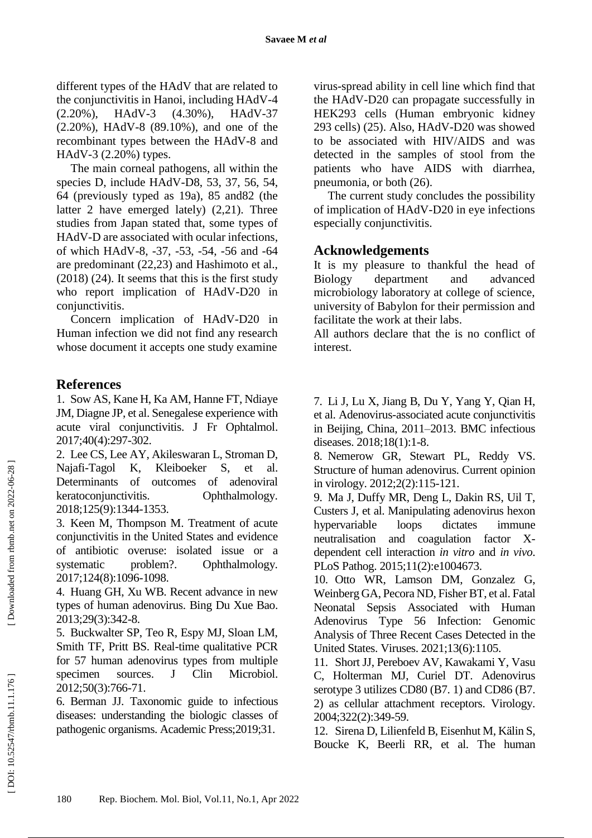different types of the HAdV that are related to the conjunctivitis in Hanoi, including HAdV -4 (2.20%), HAdV  $(4.30\%)$ , HAdV-37 (2.20%), HAdV -8 (89.10%), and one of the recombinant types between the HAdV -8 and HAdV -3 (2.20%) types.

The main corneal pathogens, all within the species D, include HAdV -D8, 53, 37, 56, 54, 64 (previously typed as 19a), 85 and82 (the latter 2 have emerged lately) (2,21). Three studies from Japan stated that, some types of HAdV -D are associated with ocular infections, of which HAdV -8, -37, -53, -54, -56 and -64 are predominant (22,23) and Hashimoto et al., (2018) (24). It seems that this is the first study who report implication of HAdV -D20 in conjunctivitis.

Concern implication of HAdV -D20 in Human infection we did not find any research whose document it accepts one study examine

## **References**

1. Sow AS, Kane H, Ka AM, Hanne FT, Ndiaye JM, Diagne JP, et al. Senegalese experience with acute viral conjunctivitis. J Fr Ophtalmol. 2017;40(4):297 -302.

2 . Lee CS, Lee AY, Akileswaran L, Stroman D, Najafi K, Kleiboeker S, et al. Determinants of outcomes of adenoviral keratoconjunctivitis. Ophthalmology. 2018;125(9):1344 -1353.

3 . Keen M, Thompson M. Treatment of acute conjunctivitis in the United States and evidence of antibiotic overuse: isolated issue or a systematic problem?. Ophthalmology. 2017;124(8):1096 -1098.

4 . Huang GH, Xu WB. Recent advance in new types of human adenovirus. Bing Du Xue Bao. 2013;29(3):342 -8.

5 . Buckwalter SP, Teo R, Espy MJ, Sloan LM, Smith TF, Pritt BS. Real -time qualitative PCR for 57 human adenovirus types from multiple specimen sources. J Clin Microbiol. 2012;50(3):766 -71.

6 . Berman JJ. Taxonomic guide to infectious diseases: understanding the biologic classes of pathogenic organisms. Academic Press;2019;31.

virus -spread ability in cell line which find that the HAdV -D20 can propagate successfully in HEK293 cells (Human embryonic kidney 293 cells) (25). Also, HAdV -D20 was showed to be associated with HIV/AIDS and was detected in the samples of stool from the patients who have AIDS with diarrhea, pneumonia, or both (26).

The current study concludes the possibility of implication of HAdV -D20 in eye infections especially conjunctivitis.

## **Acknowledgements**

It is my pleasure to thankful the head of Biology department and advanced microbiology laboratory at college of science, university of Babylon for their permission and facilitate the work at their labs.

All authors declare that the is no conflict of interest.

7 . Li J, Lu X, Jiang B, Du Y, Yang Y, Qian H, et al. Adenovirus -associated acute conjunctivitis in Beijing, China, 2011 –2013. BMC infectious diseases. 2018;18(1):1 -8.

8 . Nemerow GR, Stewart PL, Reddy VS. Structure of human adenovirus. Current opinion in virology. 2012;2(2):115 - 121.

9 . Ma J, Duffy MR, Deng L, Dakin RS, Uil T, Custers J, et al. Manipulating adenovirus hexon hypervariable loops dictates immune neutralisation and coagulation factor Xdependent cell interaction *in vitro* and *in vivo*. PLoS Pathog. 2015;11(2):e1004673.

10 . Otto WR, Lamson DM, Gonzalez G, Weinberg GA, Pecora ND, Fisher BT, et al. Fatal Neonatal Sepsis Associated with Human Adenovirus Type 56 Infection: Genomic Analysis of Three Recent Cases Detected in the United States. Viruses. 2021;13(6):1105.

11 . Short JJ, Pereboev AV, Kawakami Y, Vasu C, Holterman MJ, Curiel DT. Adenovirus serotype 3 utilizes CD80 (B7. 1) and CD86 (B7. 2) as cellular attachment receptors. Virology. 2004;322(2):349 -59.

12 . Sirena D, Lilienfeld B, Eisenhut M, K älin S, Boucke K, Beerli RR, et al. The human